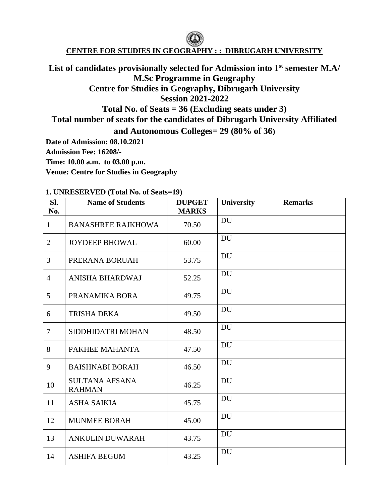### **CENTRE FOR STUDIES IN GEOGRAPHY : : DIBRUGARH UNIVERSITY**

# **List of candidates provisionally selected for Admission into 1st semester M.A/ M.Sc Programme in Geography Centre for Studies in Geography, Dibrugarh University Session 2021-2022 Total No. of Seats = 36 (Excluding seats under 3) Total number of seats for the candidates of Dibrugarh University Affiliated**

**and Autonomous Colleges= 29 (80% of 36)**

**Date of Admission: 08.10.2021** 

**Admission Fee: 16208/-**

**Time: 10.00 a.m. to 03.00 p.m.**

**Venue: Centre for Studies in Geography**

| SI.<br>No.     | <b>Name of Students</b>                | <b>DUPGET</b><br><b>MARKS</b> | University | <b>Remarks</b> |
|----------------|----------------------------------------|-------------------------------|------------|----------------|
| $\mathbf{1}$   | <b>BANASHREE RAJKHOWA</b>              | 70.50                         | <b>DU</b>  |                |
| $\overline{2}$ | <b>JOYDEEP BHOWAL</b>                  | 60.00                         | <b>DU</b>  |                |
| 3              | PRERANA BORUAH                         | 53.75                         | <b>DU</b>  |                |
| $\overline{4}$ | ANISHA BHARDWAJ                        | 52.25                         | <b>DU</b>  |                |
| 5              | PRANAMIKA BORA                         | 49.75                         | <b>DU</b>  |                |
| 6              | <b>TRISHA DEKA</b>                     | 49.50                         | <b>DU</b>  |                |
| $\overline{7}$ | SIDDHIDATRI MOHAN                      | 48.50                         | <b>DU</b>  |                |
| 8              | PAKHEE MAHANTA                         | 47.50                         | <b>DU</b>  |                |
| 9              | <b>BAISHNABI BORAH</b>                 | 46.50                         | <b>DU</b>  |                |
| 10             | <b>SULTANA AFSANA</b><br><b>RAHMAN</b> | 46.25                         | <b>DU</b>  |                |
| 11             | <b>ASHA SAIKIA</b>                     | 45.75                         | <b>DU</b>  |                |
| 12             | <b>MUNMEE BORAH</b>                    | 45.00                         | <b>DU</b>  |                |
| 13             | <b>ANKULIN DUWARAH</b>                 | 43.75                         | <b>DU</b>  |                |
| 14             | <b>ASHIFA BEGUM</b>                    | 43.25                         | <b>DU</b>  |                |

#### **1. UNRESERVED (Total No. of Seats=19)**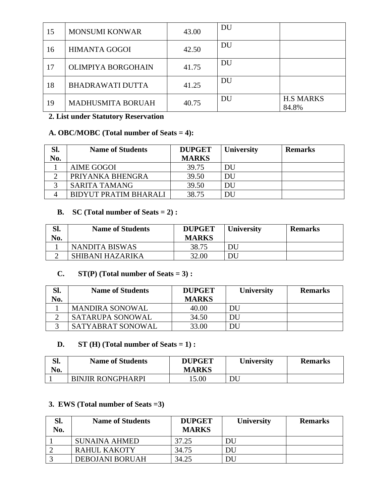| 15 | <b>MONSUMI KONWAR</b>    | 43.00 | DU |                           |
|----|--------------------------|-------|----|---------------------------|
| 16 | <b>HIMANTA GOGOI</b>     | 42.50 | DU |                           |
| 17 | OLIMPIYA BORGOHAIN       | 41.75 | DU |                           |
| 18 | <b>BHADRAWATI DUTTA</b>  | 41.25 | DU |                           |
| 19 | <b>MADHUSMITA BORUAH</b> | 40.75 | DU | <b>H.S MARKS</b><br>84.8% |

## **2. List under Statutory Reservation**

### **A. OBC/MOBC (Total number of Seats = 4):**

| Sl. | <b>Name of Students</b> | <b>DUPGET</b> | University | <b>Remarks</b> |
|-----|-------------------------|---------------|------------|----------------|
| No. |                         | <b>MARKS</b>  |            |                |
|     | AIME GOGOI              | 39.75         | DU         |                |
|     | PRIYANKA BHENGRA        | 39.50         | DU         |                |
|     | <b>SARITA TAMANG</b>    | 39.50         | DU         |                |
| Δ   | BIDYUT PRATIM BHARALI   | 38.75         | DU         |                |

### **B. SC (Total number of Seats = 2) :**

| Sl.<br>No. | <b>Name of Students</b> | <b>DUPGET</b><br><b>MARKS</b> | <b>University</b> | <b>Remarks</b> |
|------------|-------------------------|-------------------------------|-------------------|----------------|
|            | <b>NANDITA BISWAS</b>   | 38.75                         | DU                |                |
|            | <b>SHIBANI HAZARIKA</b> | 32.00                         | DU                |                |

## **C. ST(P) (Total number of Seats = 3) :**

| Sl.<br>No. | <b>Name of Students</b>  | <b>DUPGET</b><br><b>MARKS</b> | <b>University</b> | <b>Remarks</b> |
|------------|--------------------------|-------------------------------|-------------------|----------------|
|            | <b>MANDIRA SONOWAL</b>   | 40.00                         | DU                |                |
|            | <b>SATARUPA SONOWAL</b>  | 34.50                         | DU                |                |
| $\sim$     | <b>SATYABRAT SONOWAL</b> | 33.00                         | DU.               |                |

## **D. ST (H) (Total number of Seats = 1) :**

| C11<br>эı.<br>$\bf N_0$ | <b>Name of Students</b>  | <b>DUPGET</b><br><b>MARKS</b> | <b>University</b> | <b>Remarks</b> |
|-------------------------|--------------------------|-------------------------------|-------------------|----------------|
|                         | <b>BINJIR RONGPHARPI</b> | 5.00                          |                   |                |

### **3. EWS (Total number of Seats =3)**

| Sl.<br>No. | <b>Name of Students</b> | <b>DUPGET</b><br><b>MARKS</b> | <b>University</b> | <b>Remarks</b> |
|------------|-------------------------|-------------------------------|-------------------|----------------|
|            | SUNAINA AHMED           | 37.25                         | DU                |                |
|            | <b>RAHUL KAKOTY</b>     | 34.75                         | DU                |                |
|            | <b>DEBOJANI BORUAH</b>  | 34.25                         | IC                |                |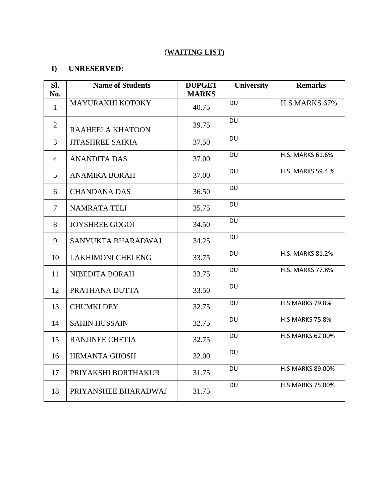## (**WAITING LIST)**

## **I) UNRESERVED:**

| SI.<br>No.     | <b>Name of Students</b>  | <b>DUPGET</b><br><b>MARKS</b> | University | <b>Remarks</b>          |
|----------------|--------------------------|-------------------------------|------------|-------------------------|
| $\mathbf{1}$   | MAYURAKHI KOTOKY         | 40.75                         | <b>DU</b>  | H.S MARKS 67%           |
| $\overline{2}$ | RAAHEELA KHATOON         | 39.75                         | <b>DU</b>  |                         |
| 3              | <b>JITASHREE SAIKIA</b>  | 37.50                         | <b>DU</b>  |                         |
| $\overline{4}$ | <b>ANANDITA DAS</b>      | 37.00                         | <b>DU</b>  | H.S. MARKS 61.6%        |
| 5              | <b>ANAMIKA BORAH</b>     | 37.00                         | <b>DU</b>  | H.S. MARKS 59.4 %       |
| 6              | <b>CHANDANA DAS</b>      | 36.50                         | DU         |                         |
| $\tau$         | <b>NAMRATA TELI</b>      | 35.75                         | <b>DU</b>  |                         |
| 8              | <b>JOYSHREE GOGOI</b>    | 34.50                         | <b>DU</b>  |                         |
| 9              | SANYUKTA BHARADWAJ       | 34.25                         | <b>DU</b>  |                         |
| 10             | <b>LAKHIMONI CHELENG</b> | 33.75                         | <b>DU</b>  | <b>H.S. MARKS 81.2%</b> |
| 11             | NIBEDITA BORAH           | 33.75                         | DU         | <b>H.S. MARKS 77.8%</b> |
| 12             | PRATHANA DUTTA           | 33.50                         | <b>DU</b>  |                         |
| 13             | <b>CHUMKI DEY</b>        | 32.75                         | <b>DU</b>  | <b>H.S MARKS 79.8%</b>  |
| 14             | <b>SAHIN HUSSAIN</b>     | 32.75                         | <b>DU</b>  | <b>H.S MARKS 75.8%</b>  |
| 15             | <b>RANJINEE CHETIA</b>   | 32.75                         | DU         | H.S MARKS 62.00%        |
| 16             | <b>HEMANTA GHOSH</b>     | 32.00                         | <b>DU</b>  |                         |
| 17             | PRIYAKSHI BORTHAKUR      | 31.75                         | <b>DU</b>  | <b>H.S MARKS 89.00%</b> |
| 18             | PRIYANSHEE BHARADWAJ     | 31.75                         | <b>DU</b>  | <b>H.S MARKS 75.00%</b> |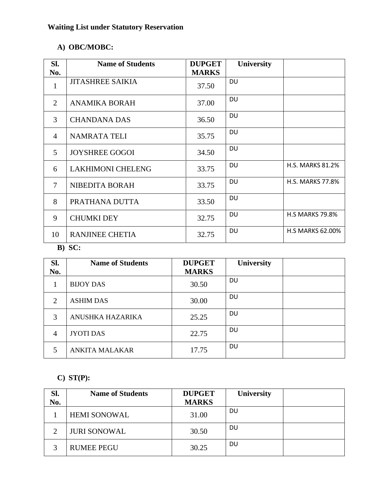# **Waiting List under Statutory Reservation**

# **A) OBC/MOBC:**

| SI.            | <b>Name of Students</b>  | <b>DUPGET</b> | <b>University</b> |                         |
|----------------|--------------------------|---------------|-------------------|-------------------------|
| No.            |                          | <b>MARKS</b>  |                   |                         |
| 1              | <b>JITASHREE SAIKIA</b>  | 37.50         | <b>DU</b>         |                         |
| 2              | <b>ANAMIKA BORAH</b>     | 37.00         | DU                |                         |
| 3              | <b>CHANDANA DAS</b>      | 36.50         | <b>DU</b>         |                         |
| $\overline{4}$ | <b>NAMRATA TELI</b>      | 35.75         | DU                |                         |
| $\mathfrak{H}$ | <b>JOYSHREE GOGOI</b>    | 34.50         | <b>DU</b>         |                         |
| 6              | <b>LAKHIMONI CHELENG</b> | 33.75         | DU                | <b>H.S. MARKS 81.2%</b> |
| 7              | NIBEDITA BORAH           | 33.75         | DU                | <b>H.S. MARKS 77.8%</b> |
| 8              | PRATHANA DUTTA           | 33.50         | <b>DU</b>         |                         |
| 9              | <b>CHUMKI DEY</b>        | 32.75         | <b>DU</b>         | <b>H.S MARKS 79.8%</b>  |
| 10             | <b>RANJINEE CHETIA</b>   | 32.75         | DU                | <b>H.S MARKS 62.00%</b> |

## **B) SC:**

| Sl.<br>No. | <b>Name of Students</b> | <b>DUPGET</b><br><b>MARKS</b> | <b>University</b> |  |
|------------|-------------------------|-------------------------------|-------------------|--|
|            | <b>BIJOY DAS</b>        | 30.50                         | <b>DU</b>         |  |
| 2          | <b>ASHIM DAS</b>        | 30.00                         | <b>DU</b>         |  |
| 3          | ANUSHKA HAZARIKA        | 25.25                         | <b>DU</b>         |  |
| 4          | <b>JYOTI DAS</b>        | 22.75                         | <b>DU</b>         |  |
| 5          | <b>ANKITA MALAKAR</b>   | 17.75                         | <b>DU</b>         |  |

# **C) ST(P):**

| Sl. | <b>Name of Students</b> | <b>DUPGET</b> | University |  |
|-----|-------------------------|---------------|------------|--|
| No. |                         | <b>MARKS</b>  |            |  |
|     | <b>HEMI SONOWAL</b>     | 31.00         | DU         |  |
| ⌒   | <b>JURI SONOWAL</b>     | 30.50         | DU         |  |
|     | <b>RUMEE PEGU</b>       | 30.25         | DU         |  |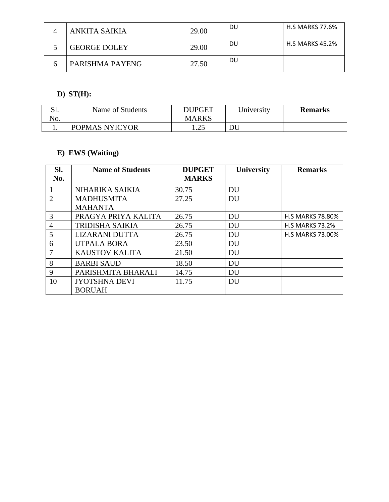| ANKITA SAIKIA       | 29.00 | DU | <b>H.S MARKS 77.6%</b> |
|---------------------|-------|----|------------------------|
| <b>GEORGE DOLEY</b> | 29.00 | DU | <b>H.S MARKS 45.2%</b> |
| PARISHMA PAYENG     | 27.50 | DU |                        |

## **D) ST(H):**

| ນ.  | Name of Students | DUPGET        | University | <b>Remarks</b> |
|-----|------------------|---------------|------------|----------------|
| No. |                  | <b>MARKS</b>  |            |                |
|     | POPMAS NYICYOR   | ົາເ<br>. . 2J | DU         |                |

## **E) EWS (Waiting)**

| Sl.<br>No.     | <b>Name of Students</b> | <b>DUPGET</b><br><b>MARKS</b> | <b>University</b> | <b>Remarks</b>          |
|----------------|-------------------------|-------------------------------|-------------------|-------------------------|
|                | NIHARIKA SAIKIA         | 30.75                         | DU                |                         |
| 2              | <b>MADHUSMITA</b>       | 27.25                         | DU                |                         |
|                | <b>MAHANTA</b>          |                               |                   |                         |
| 3              | PRAGYA PRIYA KALITA     | 26.75                         | DU                | <b>H.S MARKS 78.80%</b> |
| $\overline{4}$ | <b>TRIDISHA SAIKIA</b>  | 26.75                         | DU                | <b>H.S MARKS 73.2%</b>  |
| 5              | <b>LIZARANI DUTTA</b>   | 26.75                         | DU                | <b>H.S MARKS 73.00%</b> |
| 6              | <b>UTPALA BORA</b>      | 23.50                         | DU                |                         |
| 7              | <b>KAUSTOV KALITA</b>   | 21.50                         | DU                |                         |
| 8              | <b>BARBI SAUD</b>       | 18.50                         | DU                |                         |
| 9              | PARISHMITA BHARALI      | 14.75                         | DU                |                         |
| 10             | <b>JYOTSHNA DEVI</b>    | 11.75                         | <b>DU</b>         |                         |
|                | <b>BORUAH</b>           |                               |                   |                         |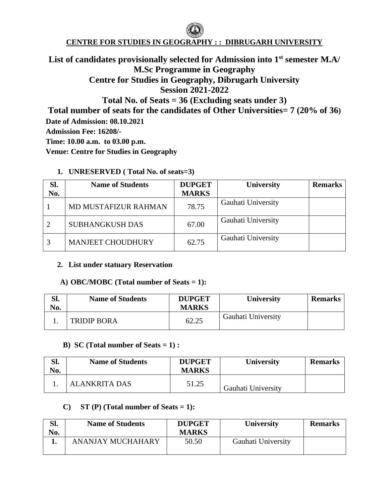# **CENTRE FOR STUDIES IN GEOGRAPHY : : DIBRUGARH UNIVERSITY**

# **List of candidates provisionally selected for Admission into 1st semester M.A/ M.Sc Programme in Geography Centre for Studies in Geography, Dibrugarh University Session 2021-2022**

**Total No. of Seats = 36 (Excluding seats under 3)**

**Total number of seats for the candidates of Other Universities= 7 (20% of 36)**

**Date of Admission: 08.10.2021** 

**Admission Fee: 16208/-**

**Time: 10.00 a.m. to 03.00 p.m.**

**Venue: Centre for Studies in Geography**

### **1. UNRESERVED ( Total No. of seats=3)**

| Sl.<br>No. | <b>Name of Students</b>     | <b>DUPGET</b><br><b>MARKS</b> | University         | <b>Remarks</b> |
|------------|-----------------------------|-------------------------------|--------------------|----------------|
|            | <b>MD MUSTAFIZUR RAHMAN</b> | 78.75                         | Gauhati University |                |
| 2          | <b>SUBHANGKUSH DAS</b>      | 67.00                         | Gauhati University |                |
| 3          | <b>MANJEET CHOUDHURY</b>    | 62.75                         | Gauhati University |                |

### **2. List under statuary Reservation**

### **A) OBC/MOBC (Total number of Seats = 1):**

| Sl.<br>No. | <b>Name of Students</b> | <b>DUPGET</b><br><b>MARKS</b> | University         | <b>Remarks</b> |
|------------|-------------------------|-------------------------------|--------------------|----------------|
|            | <b>TRIDIP BORA</b>      | 62.25                         | Gauhati University |                |

### **B) SC (Total number of Seats = 1) :**

| Sl.<br>No. | <b>Name of Students</b> | <b>DUPGET</b><br><b>MARKS</b> | <b>University</b>         | <b>Remarks</b> |
|------------|-------------------------|-------------------------------|---------------------------|----------------|
|            | ALANKRITA DAS           | 51.25                         | <b>Gauhati University</b> |                |

### **C)** ST (P) **(Total number of Seats = 1):**

| SI.<br>No. | <b>Name of Students</b> | <b>DUPGET</b><br><b>MARKS</b> | University         | <b>Remarks</b> |
|------------|-------------------------|-------------------------------|--------------------|----------------|
|            | ANANJAY MUCHAHARY       | 50.50                         | Gauhati University |                |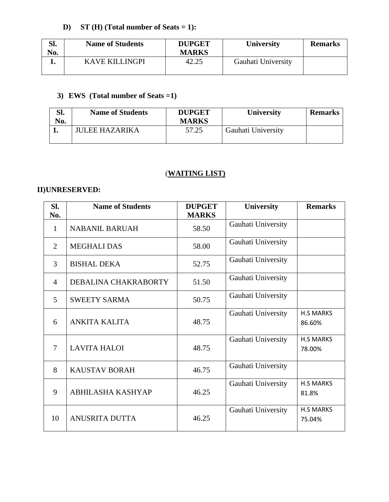# **D) ST (H) (Total number of Seats = 1):**

| Sl.<br>No. | <b>Name of Students</b> | <b>DUPGET</b><br><b>MARKS</b> | <b>University</b>  | <b>Remarks</b> |
|------------|-------------------------|-------------------------------|--------------------|----------------|
|            | <b>KAVE KILLINGPI</b>   | 42.25                         | Gauhati University |                |

# **3) EWS (Total number of Seats =1)**

| Sl.<br>No. | <b>Name of Students</b> | <b>DUPGET</b><br><b>MARKS</b> | University         | <b>Remarks</b> |
|------------|-------------------------|-------------------------------|--------------------|----------------|
|            | <b>JULEE HAZARIKA</b>   | 57.25                         | Gauhati University |                |

### (**WAITING LIST)**

## **II)UNRESERVED:**

| SI.<br>No. | <b>Name of Students</b>  | <b>DUPGET</b><br><b>MARKS</b> | University         | <b>Remarks</b>             |
|------------|--------------------------|-------------------------------|--------------------|----------------------------|
| 1          | <b>NABANIL BARUAH</b>    | 58.50                         | Gauhati University |                            |
| 2          | <b>MEGHALI DAS</b>       | 58.00                         | Gauhati University |                            |
| 3          | <b>BISHAL DEKA</b>       | 52.75                         | Gauhati University |                            |
| 4          | DEBALINA CHAKRABORTY     | 51.50                         | Gauhati University |                            |
| 5          | <b>SWEETY SARMA</b>      | 50.75                         | Gauhati University |                            |
| 6          | <b>ANKITA KALITA</b>     | 48.75                         | Gauhati University | <b>H.S MARKS</b><br>86.60% |
| $\tau$     | <b>LAVITA HALOI</b>      | 48.75                         | Gauhati University | <b>H.S MARKS</b><br>78.00% |
| 8          | <b>KAUSTAV BORAH</b>     | 46.75                         | Gauhati University |                            |
| 9          | <b>ABHILASHA KASHYAP</b> | 46.25                         | Gauhati University | <b>H.S MARKS</b><br>81.8%  |
| 10         | <b>ANUSRITA DUTTA</b>    | 46.25                         | Gauhati University | <b>H.S MARKS</b><br>75.04% |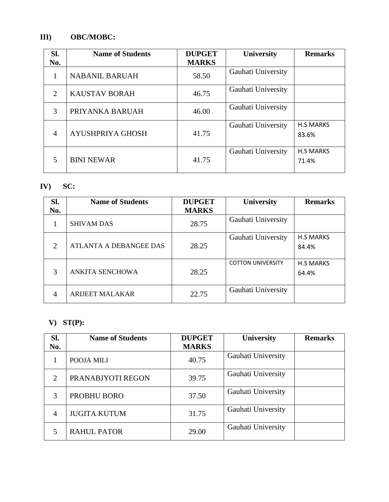# **III) OBC/MOBC:**

| Sl.                         | <b>Name of Students</b> | <b>DUPGET</b> | <b>University</b>  | <b>Remarks</b>            |
|-----------------------------|-------------------------|---------------|--------------------|---------------------------|
| No.                         |                         | <b>MARKS</b>  |                    |                           |
| 1                           | <b>NABANIL BARUAH</b>   | 58.50         | Gauhati University |                           |
| $\mathcal{D}_{\mathcal{L}}$ | <b>KAUSTAV BORAH</b>    | 46.75         | Gauhati University |                           |
| 3                           | PRIYANKA BARUAH         | 46.00         | Gauhati University |                           |
| $\overline{4}$              | AYUSHPRIYA GHOSH        | 41.75         | Gauhati University | <b>H.S MARKS</b><br>83.6% |
|                             | <b>BINI NEWAR</b>       | 41.75         | Gauhati University | <b>H.S MARKS</b><br>71.4% |

# **IV) SC:**

| Sl.            | <b>Name of Students</b> | <b>DUPGET</b> | University               | <b>Remarks</b>            |
|----------------|-------------------------|---------------|--------------------------|---------------------------|
| No.            |                         | <b>MARKS</b>  |                          |                           |
|                | <b>SHIVAM DAS</b>       | 28.75         | Gauhati University       |                           |
| 2              | ATLANTA A DEBANGEE DAS  | 28.25         | Gauhati University       | <b>H.S MARKS</b><br>84.4% |
| 3              | <b>ANKITA SENCHOWA</b>  | 28.25         | <b>COTTON UNIVERSITY</b> | <b>H.S MARKS</b><br>64.4% |
| $\overline{4}$ | <b>ARIJEET MALAKAR</b>  | 22.75         | Gauhati University       |                           |

# **V) ST(P):**

| Sl. | <b>Name of Students</b> | <b>DUPGET</b> | University         | <b>Remarks</b> |
|-----|-------------------------|---------------|--------------------|----------------|
| No. |                         | <b>MARKS</b>  |                    |                |
|     | POOJA MILI              | 40.75         | Gauhati University |                |
| 2   | PRANABJYOTI REGON       | 39.75         | Gauhati University |                |
| 3   | PROBHU BORO             | 37.50         | Gauhati University |                |
| 4   | <b>JUGITA KUTUM</b>     | 31.75         | Gauhati University |                |
| 5   | <b>RAHUL PATOR</b>      | 29.00         | Gauhati University |                |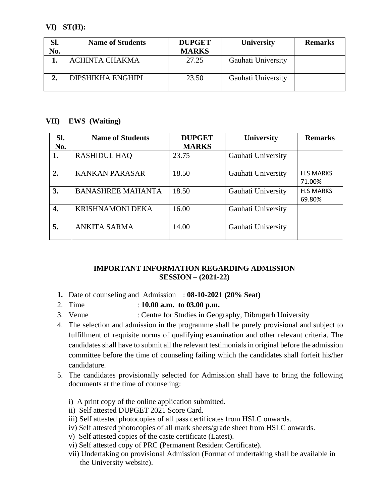### **VI) ST(H):**

| Sl. | <b>Name of Students</b>  | <b>DUPGET</b> | <b>University</b>  | <b>Remarks</b> |
|-----|--------------------------|---------------|--------------------|----------------|
| No. |                          | <b>MARKS</b>  |                    |                |
|     | <b>ACHINTA CHAKMA</b>    | 27.25         | Gauhati University |                |
|     | <b>DIPSHIKHA ENGHIPI</b> | 23.50         | Gauhati University |                |

### **VII) EWS (Waiting)**

| Sl. | <b>Name of Students</b>  | <b>DUPGET</b> | University         | <b>Remarks</b>             |
|-----|--------------------------|---------------|--------------------|----------------------------|
| No. |                          | <b>MARKS</b>  |                    |                            |
| 1.  | <b>RASHIDUL HAQ</b>      | 23.75         | Gauhati University |                            |
| 2.  | <b>KANKAN PARASAR</b>    | 18.50         | Gauhati University | <b>H.S MARKS</b><br>71.00% |
| 3.  | <b>BANASHREE MAHANTA</b> | 18.50         | Gauhati University | <b>H.S MARKS</b><br>69.80% |
| 4.  | <b>KRISHNAMONI DEKA</b>  | 16.00         | Gauhati University |                            |
| 5.  | <b>ANKITA SARMA</b>      | 14.00         | Gauhati University |                            |

### **IMPORTANT INFORMATION REGARDING ADMISSION SESSION – (2021-22)**

- **1.** Date of counseling and Admission : **08-10-2021 (20% Seat)**
- 2. Time : **10.00 a.m. to 03.00 p.m.**
- 3. Venue : Centre for Studies in Geography, Dibrugarh University
- 4. The selection and admission in the programme shall be purely provisional and subject to fulfillment of requisite norms of qualifying examination and other relevant criteria. The candidates shall have to submit all the relevant testimonials in original before the admission committee before the time of counseling failing which the candidates shall forfeit his/her candidature.
- 5. The candidates provisionally selected for Admission shall have to bring the following documents at the time of counseling:
	- i) A print copy of the online application submitted.
	- ii) Self attested DUPGET 2021 Score Card.
	- iii) Self attested photocopies of all pass certificates from HSLC onwards.
	- iv) Self attested photocopies of all mark sheets/grade sheet from HSLC onwards.
	- v) Self attested copies of the caste certificate (Latest).
	- vi) Self attested copy of PRC (Permanent Resident Certificate).
	- vii) Undertaking on provisional Admission (Format of undertaking shall be available in the University website).